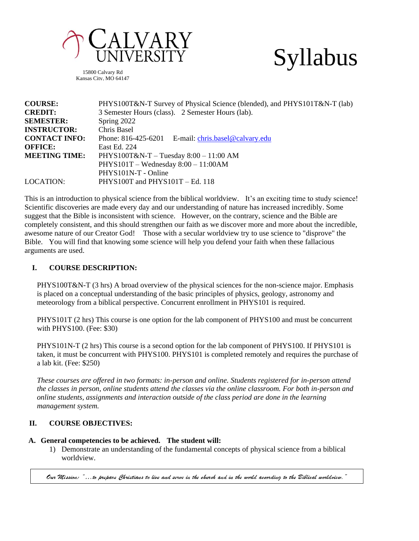

15800 Calvary Rd Kansas City, MO 64147



| <b>COURSE:</b>       | PHYS100T&N-T Survey of Physical Science (blended), and PHYS101T&N-T (lab) |  |  |  |  |
|----------------------|---------------------------------------------------------------------------|--|--|--|--|
| <b>CREDIT:</b>       | 3 Semester Hours (class). 2 Semester Hours (lab).                         |  |  |  |  |
| <b>SEMESTER:</b>     | Spring 2022                                                               |  |  |  |  |
| <b>INSTRUCTOR:</b>   | Chris Basel                                                               |  |  |  |  |
| <b>CONTACT INFO:</b> | Phone: 816-425-6201 E-mail: chris.basel@calvary.edu                       |  |  |  |  |
| <b>OFFICE:</b>       | East Ed. 224                                                              |  |  |  |  |
| <b>MEETING TIME:</b> | PHYS100T&N-T - Tuesday $8:00 - 11:00$ AM                                  |  |  |  |  |
|                      | $PHYS101T - Wednesday 8:00 - 11:00AM$                                     |  |  |  |  |
|                      | PHYS101N-T - Online                                                       |  |  |  |  |
| LOCATION:            | PHYS100T and PHYS101T $-$ Ed. 118                                         |  |  |  |  |

This is an introduction to physical science from the biblical worldview. It's an exciting time to study science! Scientific discoveries are made every day and our understanding of nature has increased incredibly. Some suggest that the Bible is inconsistent with science. However, on the contrary, science and the Bible are completely consistent, and this should strengthen our faith as we discover more and more about the incredible, awesome nature of our Creator God! Those with a secular worldview try to use science to "disprove" the Bible. You will find that knowing some science will help you defend your faith when these fallacious arguments are used.

### **I. COURSE DESCRIPTION:**

PHYS100T&N-T (3 hrs) A broad overview of the physical sciences for the non-science major. Emphasis is placed on a conceptual understanding of the basic principles of physics, geology, astronomy and meteorology from a biblical perspective. Concurrent enrollment in PHYS101 is required.

PHYS101T (2 hrs) This course is one option for the lab component of PHYS100 and must be concurrent with PHYS100. (Fee: \$30)

PHYS101N-T (2 hrs) This course is a second option for the lab component of PHYS100. If PHYS101 is taken, it must be concurrent with PHYS100. PHYS101 is completed remotely and requires the purchase of a lab kit. (Fee: \$250)

*These courses are offered in two formats: in-person and online. Students registered for in-person attend the classes in person, online students attend the classes via the online classroom. For both in-person and online students, assignments and interaction outside of the class period are done in the learning management system.*

#### **II. COURSE OBJECTIVES:**

#### **A. General competencies to be achieved. The student will:**

1) Demonstrate an understanding of the fundamental concepts of physical science from a biblical worldview.

.<br>Our Mission: "...to prepare Christians to live and serve in the church and in the world according to the Biblical worldview."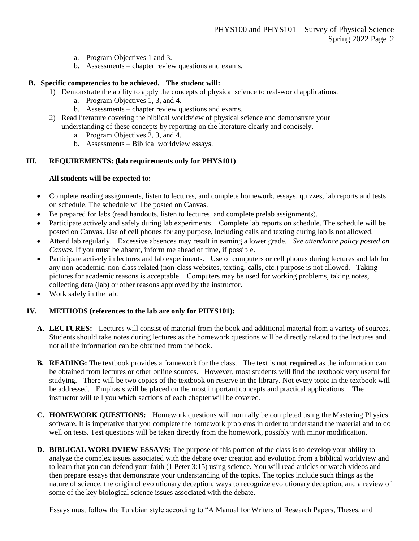- a. Program Objectives 1 and 3.
- b. Assessments chapter review questions and exams.

## **B. Specific competencies to be achieved. The student will:**

- 1) Demonstrate the ability to apply the concepts of physical science to real-world applications.
	- a. Program Objectives 1, 3, and 4.
	- b. Assessments chapter review questions and exams.
- 2) Read literature covering the biblical worldview of physical science and demonstrate your understanding of these concepts by reporting on the literature clearly and concisely.
	- a. Program Objectives 2, 3, and 4.
	- b. Assessments Biblical worldview essays.

## **III. REQUIREMENTS: (lab requirements only for PHYS101)**

## **All students will be expected to:**

- Complete reading assignments, listen to lectures, and complete homework, essays, quizzes, lab reports and tests on schedule. The schedule will be posted on Canvas.
- Be prepared for labs (read handouts, listen to lectures, and complete prelab assignments).
- Participate actively and safely during lab experiments. Complete lab reports on schedule. The schedule will be posted on Canvas. Use of cell phones for any purpose, including calls and texting during lab is not allowed.
- Attend lab regularly. Excessive absences may result in earning a lower grade. *See attendance policy posted on Canvas.* If you must be absent, inform me ahead of time, if possible.
- Participate actively in lectures and lab experiments. Use of computers or cell phones during lectures and lab for any non-academic, non-class related (non-class websites, texting, calls, etc.) purpose is not allowed. Taking pictures for academic reasons is acceptable. Computers may be used for working problems, taking notes, collecting data (lab) or other reasons approved by the instructor.
- Work safely in the lab.

## **IV. METHODS (references to the lab are only for PHYS101):**

- **A. LECTURES:** Lectures will consist of material from the book and additional material from a variety of sources. Students should take notes during lectures as the homework questions will be directly related to the lectures and not all the information can be obtained from the book.
- **B. READING:** The textbook provides a framework for the class. The text is **not required** as the information can be obtained from lectures or other online sources. However, most students will find the textbook very useful for studying. There will be two copies of the textbook on reserve in the library. Not every topic in the textbook will be addressed. Emphasis will be placed on the most important concepts and practical applications. The instructor will tell you which sections of each chapter will be covered.
- **C. HOMEWORK QUESTIONS:** Homework questions will normally be completed using the Mastering Physics software. It is imperative that you complete the homework problems in order to understand the material and to do well on tests. Test questions will be taken directly from the homework, possibly with minor modification.
- **D. BIBLICAL WORLDVIEW ESSAYS:** The purpose of this portion of the class is to develop your ability to analyze the complex issues associated with the debate over creation and evolution from a biblical worldview and to learn that you can defend your faith (1 Peter 3:15) using science. You will read articles or watch videos and then prepare essays that demonstrate your understanding of the topics. The topics include such things as the nature of science, the origin of evolutionary deception, ways to recognize evolutionary deception, and a review of some of the key biological science issues associated with the debate.

Essays must follow the Turabian style according to "A Manual for Writers of Research Papers, Theses, and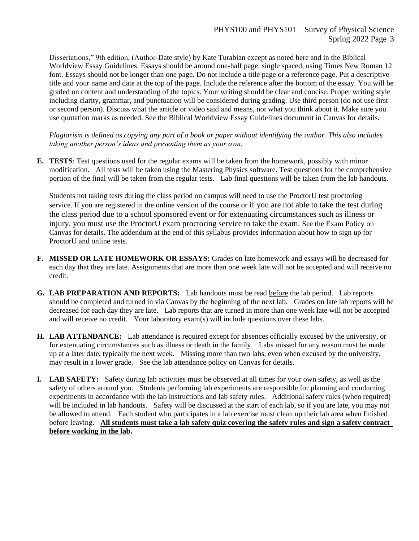Dissertations," 9th edition, (Author-Date style) by Kate Turabian except as noted here and in the Biblical Worldview Essay Guidelines. Essays should be around one-half page, single spaced, using Times New Roman 12 font. Essays should not be longer than one page. Do not include a title page or a reference page. Put a descriptive title and your name and date at the top of the page. Include the reference after the bottom of the essay. You will be graded on content and understanding of the topics. Your writing should be clear and concise. Proper writing style including clarity, grammar, and punctuation will be considered during grading. Use third person (do not use first or second person). Discuss what the article or video said and means, not what you think about it. Make sure you use quotation marks as needed. See the Biblical Worldview Essay Guidelines document in Canvas for details.

*Plagiarism is defined as copying any part of a book or paper without identifying the author. This also includes taking another person's ideas and presenting them as your own.*

**E. TESTS**: Test questions used for the regular exams will be taken from the homework, possibly with minor modification. All tests will be taken using the Mastering Physics software. Test questions for the comprehensive portion of the final will be taken from the regular tests. Lab final questions will be taken from the lab handouts.

Students not taking tests during the class period on campus will need to use the ProctorU test proctoring service. If you are registered in the online version of the course or if you are not able to take the test during the class period due to a school sponsored event or for extenuating circumstances such as illness or injury, you must use the ProctorU exam proctoring service to take the exam. See the Exam Policy on Canvas for details. The addendum at the end of this syllabus provides information about how to sign up for ProctorU and online tests.

- **F. MISSED OR LATE HOMEWORK OR ESSAYS:** Grades on late homework and essays will be decreased for each day that they are late. Assignments that are more than one week late will not be accepted and will receive no credit.
- **G. LAB PREPARATION AND REPORTS:** Lab handouts must be read before the lab period. Lab reports should be completed and turned in via Canvas by the beginning of the next lab. Grades on late lab reports will be decreased for each day they are late. Lab reports that are turned in more than one week late will not be accepted and will receive no credit. Your laboratory exam(s) will include questions over these labs.
- **H. LAB ATTENDANCE:** Lab attendance is required except for absences officially excused by the university, or for extenuating circumstances such as illness or death in the family. Labs missed for any reason must be made up at a later date, typically the next week. Missing more than two labs, even when excused by the university, may result in a lower grade. See the lab attendance policy on Canvas for details.
- **I. LAB SAFETY:** Safety during lab activities must be observed at all times for your own safety, as well as the safety of others around you. Students performing lab experiments are responsible for planning and conducting experiments in accordance with the lab instructions and lab safety rules. Additional safety rules (when required) will be included in lab handouts. Safety will be discussed at the start of each lab, so if you are late, you may not be allowed to attend. Each student who participates in a lab exercise must clean up their lab area when finished before leaving. **All students must take a lab safety quiz covering the safety rules and sign a safety contract before working in the lab.**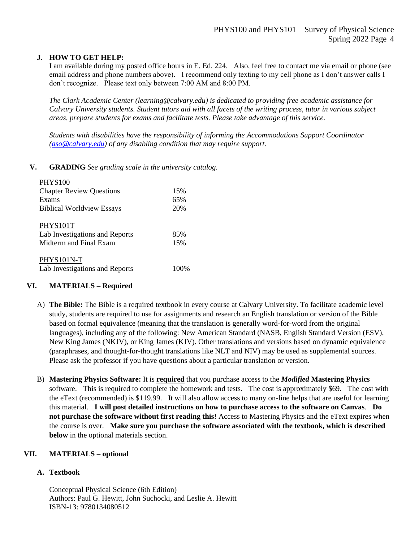## **J. HOW TO GET HELP:**

I am available during my posted office hours in E. Ed. 224. Also, feel free to contact me via email or phone (see email address and phone numbers above). I recommend only texting to my cell phone as I don't answer calls I don't recognize. Please text only between 7:00 AM and 8:00 PM.

*The Clark Academic Center (learning@calvary.edu) is dedicated to providing free academic assistance for Calvary University students. Student tutors aid with all facets of the writing process, tutor in various subject areas, prepare students for exams and facilitate tests. Please take advantage of this service.*

*Students with disabilities have the responsibility of informing the Accommodations Support Coordinator [\(aso@calvary.edu\)](mailto:aso@calvary.edu) of any disabling condition that may require support.*

## **V. GRADING** *See grading scale in the university catalog.*

| <b>PHYS100</b>                   |      |
|----------------------------------|------|
| <b>Chapter Review Questions</b>  | 15%  |
| Exams                            | 65%  |
| <b>Biblical Worldview Essays</b> | 20%  |
| PHYS101T                         |      |
| Lab Investigations and Reports   | 85%  |
| Midterm and Final Exam           | 15%  |
| PHYS101N-T                       |      |
| Lab Investigations and Reports   | 100% |

## **VI. MATERIALS – Required**

- A) **The Bible:** The Bible is a required textbook in every course at Calvary University. To facilitate academic level study, students are required to use for assignments and research an English translation or version of the Bible based on formal equivalence (meaning that the translation is generally word-for-word from the original languages), including any of the following: New American Standard (NASB, English Standard Version (ESV), New King James (NKJV), or King James (KJV). Other translations and versions based on dynamic equivalence (paraphrases, and thought-for-thought translations like NLT and NIV) may be used as supplemental sources. Please ask the professor if you have questions about a particular translation or version.
- B) **Mastering Physics Software:** It is **required** that you purchase access to the *Modified* **Mastering Physics** software. This is required to complete the homework and tests. The cost is approximately \$69. The cost with the eText (recommended) is \$119.99. It will also allow access to many on-line helps that are useful for learning this material. **I will post detailed instructions on how to purchase access to the software on Canvas**. **Do not purchase the software without first reading this!** Access to Mastering Physics and the eText expires when the course is over. **Make sure you purchase the software associated with the textbook, which is described below** in the optional materials section.

#### **VII. MATERIALS – optional**

### **A. Textbook**

Conceptual Physical Science (6th Edition) Authors: Paul G. Hewitt, John Suchocki, and Leslie A. Hewitt ISBN-13: 9780134080512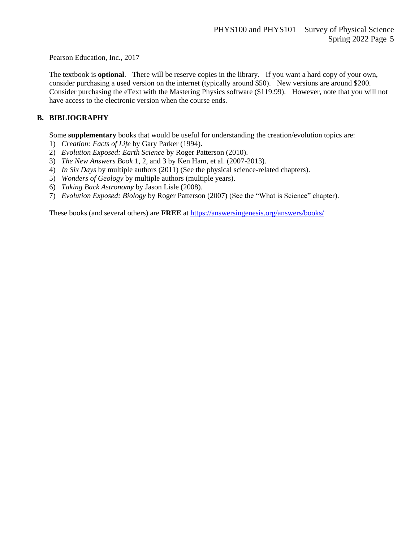Pearson Education, Inc., 2017

The textbook is **optional**. There will be reserve copies in the library. If you want a hard copy of your own, consider purchasing a used version on the internet (typically around \$50). New versions are around \$200. Consider purchasing the eText with the Mastering Physics software (\$119.99). However, note that you will not have access to the electronic version when the course ends.

#### **B. BIBLIOGRAPHY**

Some **supplementary** books that would be useful for understanding the creation/evolution topics are:

- 1) *Creation: Facts of Life* by Gary Parker (1994).
- 2) *Evolution Exposed: Earth Science* by Roger Patterson (2010).
- 3) *The New Answers Book* 1, 2, and 3 by Ken Ham, et al. (2007-2013).
- 4) *In Six Days* by multiple authors (2011) (See the physical science-related chapters).
- 5) *Wonders of Geology* by multiple authors (multiple years).
- 6) *Taking Back Astronomy* by Jason Lisle (2008).
- 7) *Evolution Exposed: Biology* by Roger Patterson (2007) (See the "What is Science" chapter).

These books (and several others) are **FREE** at<https://answersingenesis.org/answers/books/>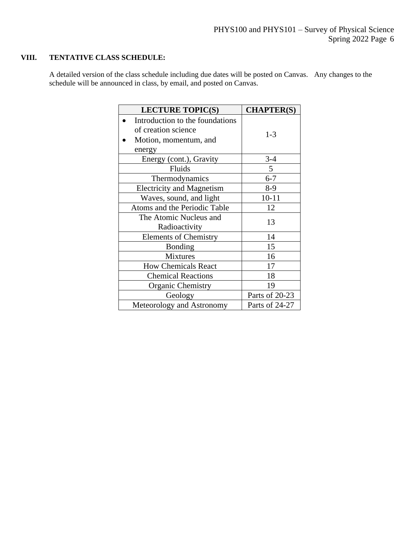# **VIII. TENTATIVE CLASS SCHEDULE:**

A detailed version of the class schedule including due dates will be posted on Canvas. Any changes to the schedule will be announced in class, by email, and posted on Canvas.

| <b>LECTURE TOPIC(S)</b>                                                                   | <b>CHAPTER(S)</b> |
|-------------------------------------------------------------------------------------------|-------------------|
| Introduction to the foundations<br>of creation science<br>Motion, momentum, and<br>energy | $1 - 3$           |
| Energy (cont.), Gravity                                                                   | $3-4$             |
| Fluids                                                                                    | 5 <sup>5</sup>    |
| Thermodynamics                                                                            | $6 - 7$           |
| <b>Electricity and Magnetism</b>                                                          | $8-9$             |
| Waves, sound, and light                                                                   | $10 - 11$         |
| Atoms and the Periodic Table                                                              | 12                |
| The Atomic Nucleus and<br>Radioactivity                                                   | 13                |
| <b>Elements of Chemistry</b>                                                              | 14                |
| <b>Bonding</b>                                                                            | 15                |
| <b>Mixtures</b>                                                                           | 16                |
| <b>How Chemicals React</b>                                                                | 17                |
| <b>Chemical Reactions</b>                                                                 | 18                |
| Organic Chemistry                                                                         | 19                |
| Geology                                                                                   | Parts of 20-23    |
| Meteorology and Astronomy                                                                 | Parts of 24-27    |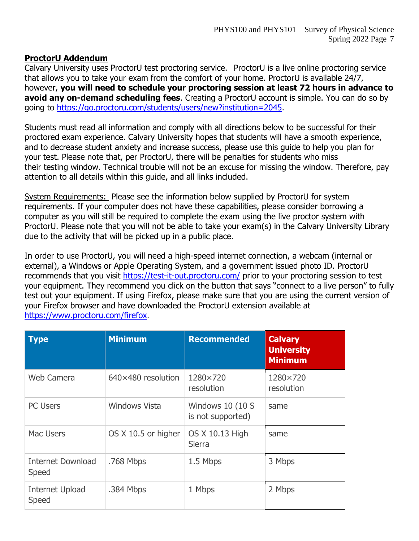# **ProctorU Addendum**

Calvary University uses ProctorU test proctoring service. ProctorU is a live online proctoring service that allows you to take your exam from the comfort of your home. ProctorU is available 24/7, however, **you will need to schedule your proctoring session at least 72 hours in advance to avoid any on-demand scheduling fees**. Creating a ProctorU account is simple. You can do so by going to [https://go.proctoru.com/students/users/new?institution=2045.](about:blank)

Students must read all information and comply with all directions below to be successful for their proctored exam experience. Calvary University hopes that students will have a smooth experience, and to decrease student anxiety and increase success, please use this guide to help you plan for your test. Please note that, per ProctorU, there will be penalties for students who miss their testing window. Technical trouble will not be an excuse for missing the window. Therefore, pay attention to all details within this guide, and all links included.

System Requirements: Please see the information below supplied by ProctorU for system requirements. If your computer does not have these capabilities, please consider borrowing a computer as you will still be required to complete the exam using the live proctor system with ProctorU. Please note that you will not be able to take your exam(s) in the Calvary University Library due to the activity that will be picked up in a public place.

In order to use ProctorU, you will need a high-speed internet connection, a webcam (internal or external), a Windows or Apple Operating System, and a government issued photo ID. ProctorU recommends that you visit [https://test-it-out.proctoru.com/](about:blank) prior to your proctoring session to test your equipment. They recommend you click on the button that says "connect to a live person" to fully test out your equipment. If using Firefox, please make sure that you are using the current version of your Firefox browser and have downloaded the ProctorU extension available at [https://www.proctoru.com/firefox.](about:blank)

| <b>Type</b>                              | <b>Minimum</b>            | <b>Recommended</b>                     | <b>Calvary</b><br><b>University</b><br><b>Minimum</b> |
|------------------------------------------|---------------------------|----------------------------------------|-------------------------------------------------------|
| <b>Web Camera</b>                        | $640\times480$ resolution | 1280×720<br>resolution                 | 1280×720<br>resolution                                |
| <b>PC Users</b>                          | <b>Windows Vista</b>      | Windows 10 (10 S)<br>is not supported) | same                                                  |
| <b>Mac Users</b>                         | OS X 10.5 or higher       | OS X 10.13 High<br><b>Sierra</b>       | same                                                  |
| <b>Internet Download</b><br><b>Speed</b> | .768 Mbps                 | 1.5 Mbps                               | 3 Mbps                                                |
| <b>Internet Upload</b><br><b>Speed</b>   | .384 Mbps                 | 1 Mbps                                 | 2 Mbps                                                |